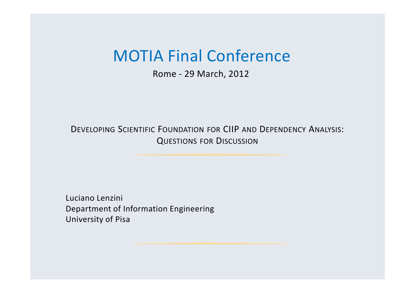#### MOTIA Final Conference

Rome - 29 March, 2012

Developing Scientific Foundation for CIIP and Dependency Analysis: Questions for Discussion

Luciano LenziniDepartment of Information Engineering University of Pisa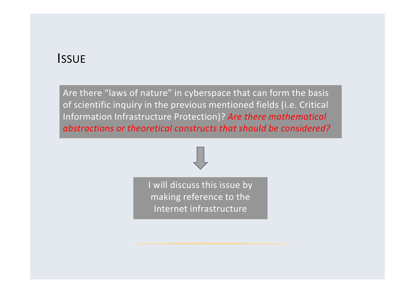#### **ISSUE**

Are there "laws of nature" in cyberspace that can form the basis of scientific inquiry in the previous mentioned fields (i.e. Critical Information Infrastructure Protection)? *Are there mathematical abstractions or theoretical constructs that should be considered?*

> I will discuss this issue by making reference to the Internet infrastructure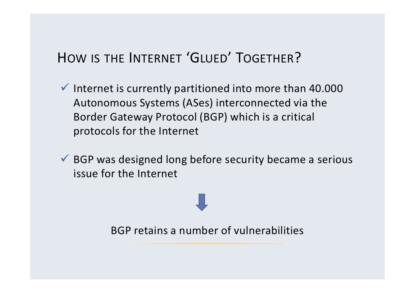# HOW IS THE <sup>I</sup>NTERNET 'GLUED' TOGETHER?

- $\checkmark$  Internet is currently partitioned into more than 40.000 Autonomous Systems (ASes) interconnected via the Border Gateway Protocol (BGP) which is a critical protocols for the Internet
- $\checkmark$  BGP was designed long before security became a serious issue for the Internet

BGP retains a number of vulnerabilities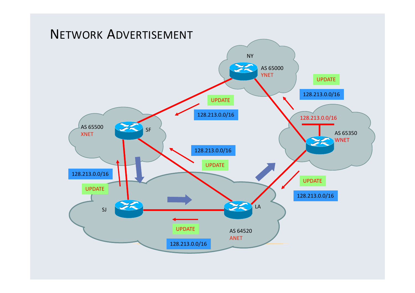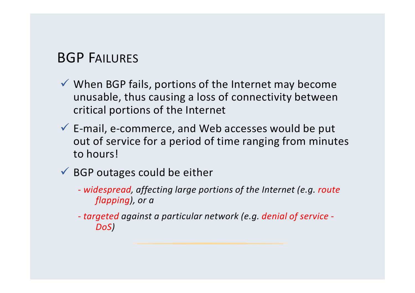#### BGP FAILURES

- When BGP fails, portions of the Internet may become unusable, thus causing a loss of connectivity between critical portions of the Internet
- $\checkmark$  E-mail, e-commerce, and Web accesses would be put<br>eut of service for a period of time ranging from minut out of service for a period of time ranging from minutes to hours!
- $\checkmark$  BGP outages could be either
	- *widespread, affecting large portions of the Internet (e.g. route flapping), or a*
	- *- targeted against a particular network (e.g. denial of service - DoS)*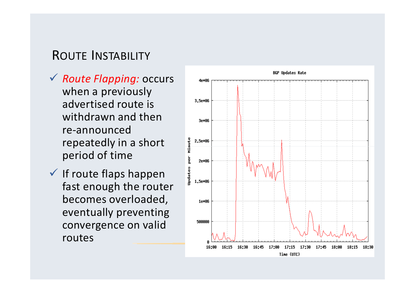#### ROUTE <sup>I</sup>NSTABILITY

- *Route Flapping:* occurs when a previously advertised route is withdrawn and then re-announced repeatedly in a short period of time
- $\checkmark$  If route flaps happen fast enough the router becomes overloaded, eventually preventing convergence on valid routes

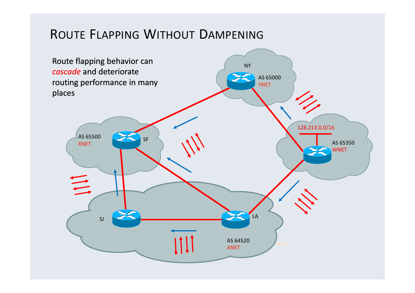## ROUTE <sup>F</sup>LAPPING <sup>W</sup>ITHOUT <sup>D</sup>AMPENING

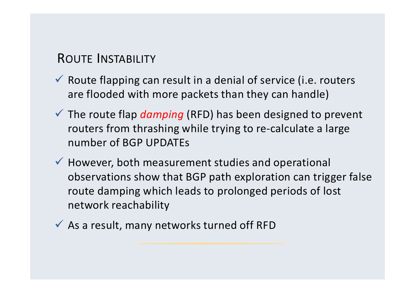#### ROUTE <sup>I</sup>NSTABILITY

- $\checkmark$  Route flapping can result in a denial of service (i.e. routers are flooded with more packets than they can handle)
- The route flap *damping* (RFD) has been designed to prevent routers from thrashing while trying to re-calculate a large number of BGP UPDATEs
- $\checkmark$  However, both measurement studies and operational observations show that BGP path exploration can trigger false route damping which leads to prolonged periods of lost network reachability
- $\checkmark$  As a result, many networks turned off RFD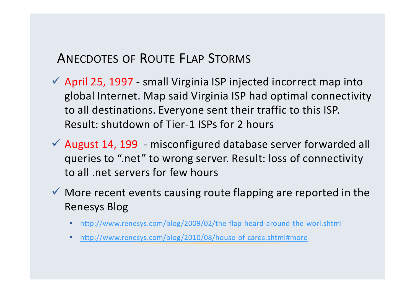### <sup>A</sup>NECDOTES OF <sup>R</sup>OUTE <sup>F</sup>LAP <sup>S</sup>TORMS

- April 25, 1997 small Virginia ISP injected incorrect map into global Internet. Map said Virginia ISP had optimal connectivity to all destinations. Everyone sent their traffic to this ISP. Result: shutdown of Tier-1 ISPs for 2 hours
- $\checkmark$  August 14, 199 misconfigured database server forwarded all queries to ".net" to wrong server. Result: loss of connectivity to all .net servers for few hours
- $\checkmark$  More recent events causing route flapping are reported in the Renesys Blog
	- http://www.renesys.com/blog/2009/02/the-flap-heard-around-the-worl.shtml
	- http://www.renesys.com/blog/2010/08/house-of-cards.shtml#more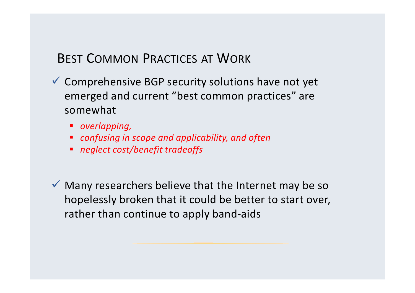## BEST <sup>C</sup>OMMON <sup>P</sup>RACTICES AT <sup>W</sup>ORK

- Comprehensive BGP security solutions have not yet emerged and current "best common practices" are somewhat
	- *overlapping,*
	- *confusing in scope and applicability, and often*
	- *neglect cost/benefit tradeoffs*

 $\checkmark$  Many researchers believe that the Internet may be so hopelessly broken that it could be better to start over, rather than continue to apply band-aids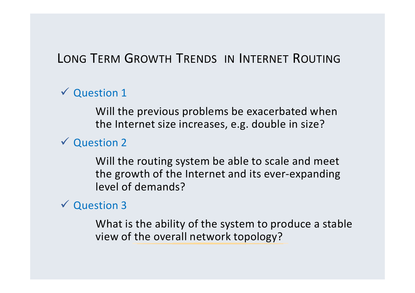# LONG <sup>T</sup>ERM <sup>G</sup>ROWTH <sup>T</sup>RENDS IN <sup>I</sup>NTERNET <sup>R</sup>OUTING

 $\checkmark$  Question 1

Will the previous problems be exacerbated whenthe Internet size increases, e.g. double in size?

Question <sup>2</sup>

Will the routing system be able to scale and meet the growth of the Internet and its ever-expanding level of demands?

 $\checkmark$  Question 3

What is the ability of the system to produce a stable view of the overall network topology?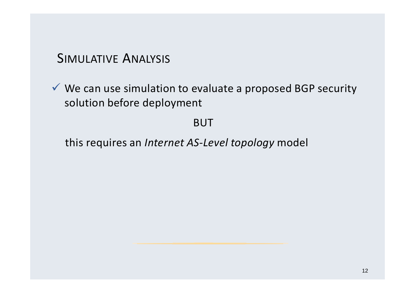#### SIMULATIVE <sup>A</sup>NALYSIS

 $\checkmark$  We can use simulation to evaluate a proposed BGP security solution before deployment

BUT

this requires an *Internet AS-Level topology* model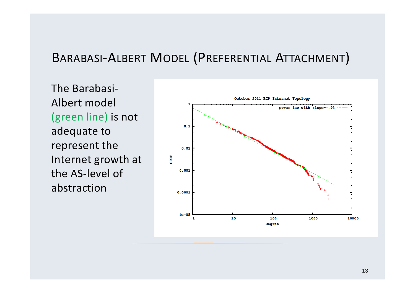#### BARABASI-ALBERT <sup>M</sup>ODEL (PREFERENTIAL <sup>A</sup>TTACHMENT)

The Barabasi-Albert model (green line) is not adequate to represent the Internet growth at the AS-level of abstraction